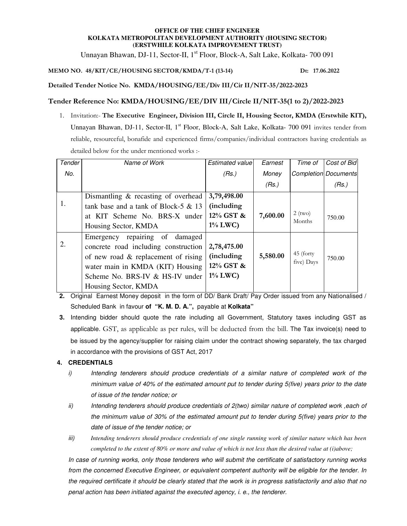### **OFFICE OF THE CHIEF ENGINEER KOLKATA METROPOLITAN DEVELOPMENT AUTHORITY (HOUSING SECTOR) (ERSTWHILE KOLKATA IMPROVEMENT TRUST)**

Unnayan Bhawan, DJ-11, Sector-II, 1<sup>st</sup> Floor, Block-A, Salt Lake, Kolkata- 700 091

## **MEMO NO. 48/KIT/CE/HOUSING SECTOR/KMDA/T-1 (13-14) Dt: 17.06.2022**

**Detailed Tender Notice No. KMDA/HOUSING/EE/Div III/Cir II/NIT-35/2022-2023** 

## **Tender Reference No: KMDA/HOUSING/EE/DIV III/Circle II/NIT-35(1 to 2)/2022-2023**

1. Invitation:- **The Executive Engineer, Division III, Circle II, Housing Sector, KMDA (Erstwhile KIT),**  Unnayan Bhawan, DJ-11, Sector-II, 1<sup>st</sup> Floor, Block-A, Salt Lake, Kolkata- 700 091 invites tender from reliable, resourceful, bonafide and experienced firms/companies/individual contractors having credentials as detailed below for the under mentioned works :-

| Tender | Name of Work                                                                                                                                                                               | Estimated value                                      | Earnest  | Time of                 | Cost of Bid                 |
|--------|--------------------------------------------------------------------------------------------------------------------------------------------------------------------------------------------|------------------------------------------------------|----------|-------------------------|-----------------------------|
| No.    |                                                                                                                                                                                            | (Rs.)                                                | Money    |                         | <b>Completion Documents</b> |
|        |                                                                                                                                                                                            |                                                      | (Rs.)    |                         | (Rs.)                       |
|        | Dismantling & recasting of overhead                                                                                                                                                        | 3,79,498.00                                          |          |                         |                             |
| 1.     | tank base and a tank of Block-5 $& 13$                                                                                                                                                     | (including                                           |          |                         |                             |
|        | at KIT Scheme No. BRS-X under                                                                                                                                                              | 12% GST &                                            | 7,600.00 | $2$ (two)<br>Months     | 750.00                      |
|        | Housing Sector, KMDA                                                                                                                                                                       | $1\%$ LWC)                                           |          |                         |                             |
| 2.     | repairing of<br>damaged<br>Emergency<br>concrete road including construction<br>of new road & replacement of rising<br>water main in KMDA (KIT) Housing<br>Scheme No. BRS-IV & HS-IV under | 2,78,475.00<br>(including<br>12% GST &<br>$1\%$ LWC) | 5,580.00 | 45 (forty<br>five) Days | 750.00                      |
|        | Housing Sector, KMDA                                                                                                                                                                       |                                                      |          |                         |                             |

**2.** Original Earnest Money deposit in the form of DD/ Bank Draft/ Pay Order issued from any Nationalised / Scheduled Bank in favour **of "K. M. D. A.",** payable at **Kolkata"** 

**3.** Intending bidder should quote the rate including all Government, Statutory taxes including GST as applicable. GST, as applicable as per rules, will be deducted from the bill. The Tax invoice(s) need to be issued by the agency/supplier for raising claim under the contract showing separately, the tax charged in accordance with the provisions of GST Act, 2017

### **4. CREDENTIALS**

- i) Intending tenderers should produce credentials of a similar nature of completed work of the minimum value of 40% of the estimated amount put to tender during 5(five) years prior to the date of issue of the tender notice; or
- ii) Intending tenderers should produce credentials of 2(two) similar nature of completed work , each of the minimum value of 30% of the estimated amount put to tender during 5(five) years prior to the date of issue of the tender notice; or
- iii) *Intending tenderers should produce credentials of one single running work of similar nature which has been completed to the extent of 80% or more and value of which is not less than the desired value at (i)above;*

In case of running works, only those tenderers who will submit the certificate of satisfactory running works from the concerned Executive Engineer, or equivalent competent authority will be eligible for the tender. In the required certificate it should be clearly stated that the work is in progress satisfactorily and also that no penal action has been initiated against the executed agency, i. e., the tenderer.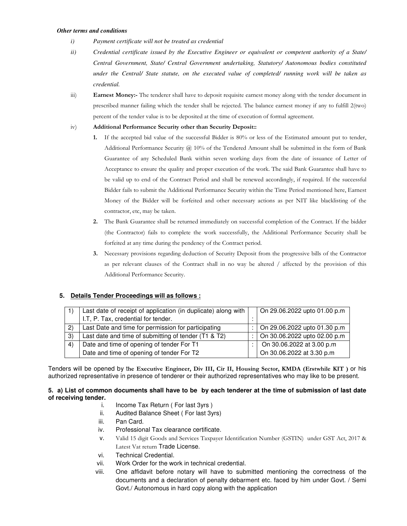#### *Other terms and conditions*

- *i) Payment certificate will not be treated as credential*
- *ii) Credential certificate issued by the Executive Engineer or equivalent or competent authority of a State/ Central Government, State/ Central Government undertaking, Statutory/ Autonomous bodies constituted under the Central/ State statute, on the executed value of completed/ running work will be taken as credential.*
- iii) **Earnest Money:-** The tenderer shall have to deposit requisite earnest money along with the tender document in prescribed manner failing which the tender shall be rejected. The balance earnest money if any to fulfill 2(two) percent of the tender value is to be deposited at the time of execution of formal agreement.
- iv) **Additional Performance Security other than Security Deposit::** 
	- **1.** If the accepted bid value of the successful Bidder is 80% or less of the Estimated amount put to tender, Additional Performance Security @ 10% of the Tendered Amount shall be submitted in the form of Bank Guarantee of any Scheduled Bank within seven working days from the date of issuance of Letter of Acceptance to ensure the quality and proper execution of the work. The said Bank Guarantee shall have to be valid up to end of the Contract Period and shall be renewed accordingly, if required. If the successful Bidder fails to submit the Additional Performance Security within the Time Period mentioned here, Earnest Money of the Bidder will be forfeited and other necessary actions as per NIT like blacklisting of the contractor, etc, may be taken.
	- **2.** The Bank Guarantee shall be returned immediately on successful completion of the Contract. If the bidder (the Contractor) fails to complete the work successfully, the Additional Performance Security shall be forfeited at any time during the pendency of the Contract period.
	- **3.** Necessary provisions regarding deduction of Security Deposit from the progressive bills of the Contractor as per relevant clauses of the Contract shall in no way be altered / affected by the provision of this Additional Performance Security.

# **5. Details Tender Proceedings will as follows :**

|    | Last date of receipt of application (in duplicate) along with |  | On 29.06.2022 upto 01.00 p.m |
|----|---------------------------------------------------------------|--|------------------------------|
|    | I.T, P. Tax, credential for tender.                           |  |                              |
| 2) | Last Date and time for permission for participating           |  | On 29.06.2022 upto 01.30 p.m |
| 3) | Last date and time of submitting of tender (T1 & T2)          |  | On 30.06.2022 upto 02.00 p.m |
| 4) | Date and time of opening of tender For T1                     |  | On 30.06.2022 at 3.00 p.m    |
|    | Date and time of opening of tender For T2                     |  | On 30.06.2022 at 3.30 p.m    |

Tenders will be opened by t**he Executive Engineer, Div III, Cir II, Housing Sector, KMDA (Erstwhile KIT )** or his authorized representative in presence of tenderer or their authorized representatives who may like to be present.

### **5. a) List of common documents shall have to be by each tenderer at the time of submission of last date of receiving tender.**

- i. Income Tax Return ( For last 3yrs )
- ii. Audited Balance Sheet ( For last 3yrs)
- iii. Pan Card.
- iv. Professional Tax clearance certificate.
- v. Valid 15 digit Goods and Services Taxpayer Identification Number (GSTIN) under GST Act, 2017 & Latest Vat return Trade License.
- vi. Technical Credential.
- vii. Work Order for the work in technical credential.
- viii. One affidavit before notary will have to submitted mentioning the correctness of the documents and a declaration of penalty debarment etc. faced by him under Govt. / Semi Govt./ Autonomous in hard copy along with the application